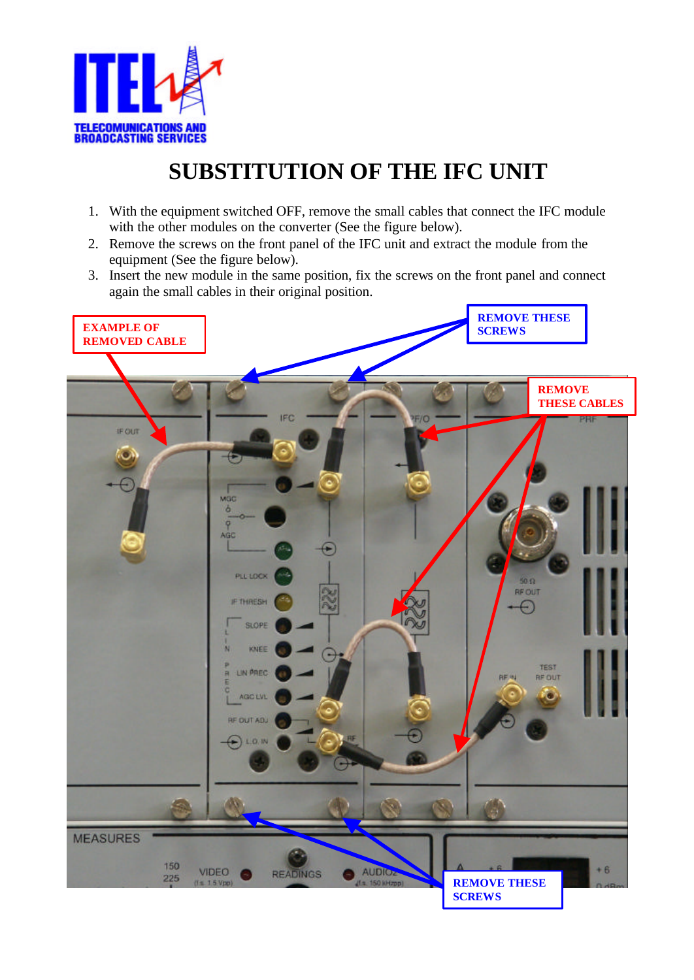

## **SUBSTITUTION OF THE IFC UNIT**

- 1. With the equipment switched OFF, remove the small cables that connect the IFC module with the other modules on the converter (See the figure below).
- 2. Remove the screws on the front panel of the IFC unit and extract the module from the equipment (See the figure below).
- 3. Insert the new module in the same position, fix the screws on the front panel and connect again the small cables in their original position.

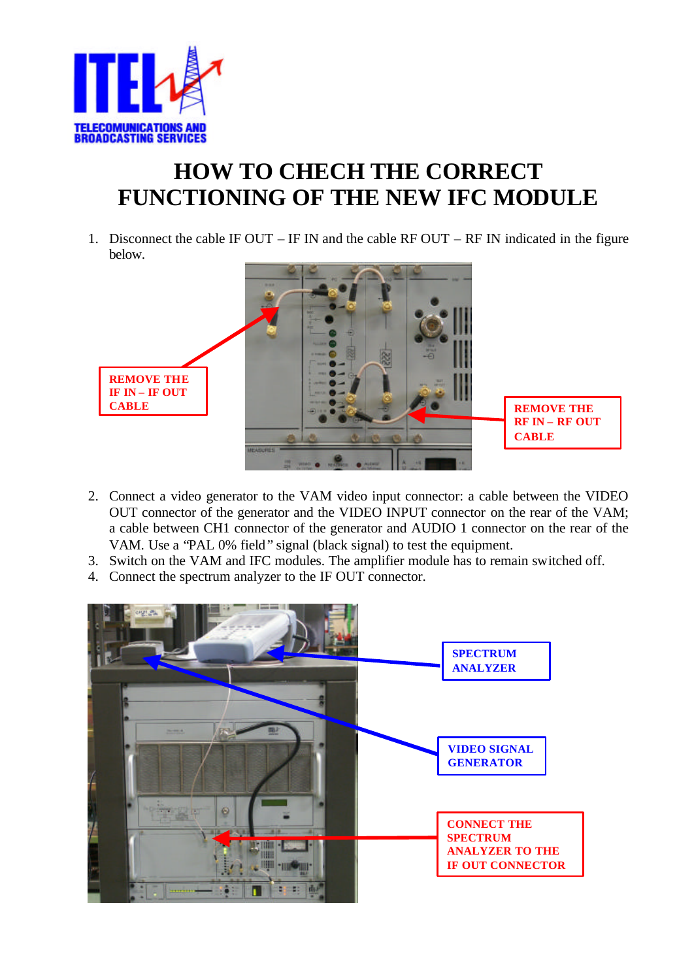

## **HOW TO CHECH THE CORRECT FUNCTIONING OF THE NEW IFC MODULE**

1. Disconnect the cable IF OUT – IF IN and the cable RF OUT – RF IN indicated in the figure below.



- 2. Connect a video generator to the VAM video input connector: a cable between the VIDEO OUT connector of the generator and the VIDEO INPUT connector on the rear of the VAM; a cable between CH1 connector of the generator and AUDIO 1 connector on the rear of the VAM. Use a "PAL 0% field" signal (black signal) to test the equipment.
- 3. Switch on the VAM and IFC modules. The amplifier module has to remain switched off.
- 4. Connect the spectrum analyzer to the IF OUT connector.

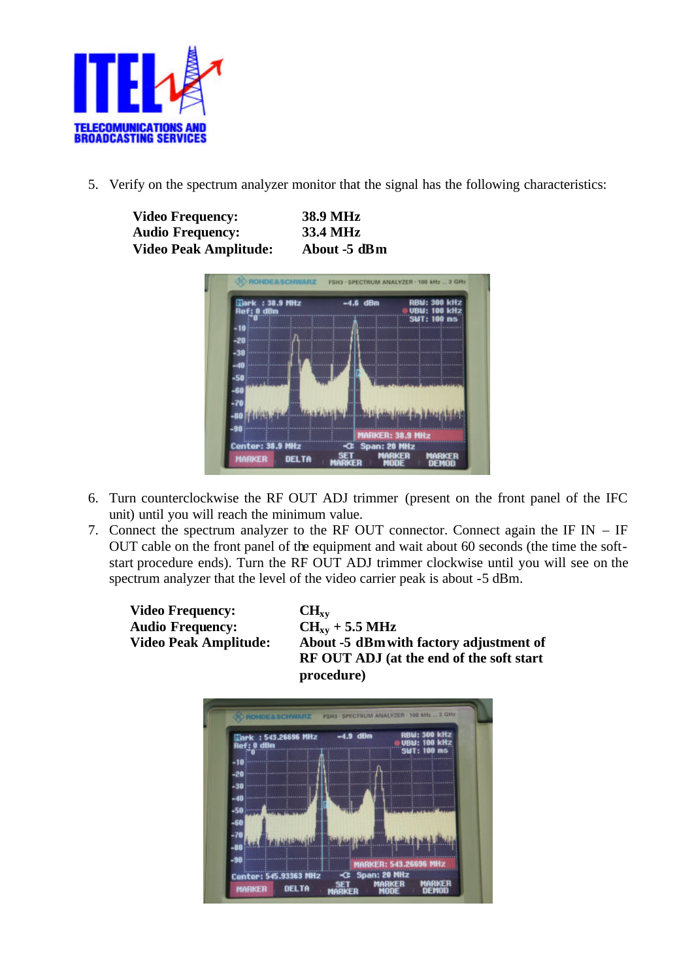

5. Verify on the spectrum analyzer monitor that the signal has the following characteristics:

| <b>Video Frequency:</b><br><b>Audio Frequency:</b> |                                              | <b>38.9 MHz</b><br>33.4 MHz |       |                                           |                         |
|----------------------------------------------------|----------------------------------------------|-----------------------------|-------|-------------------------------------------|-------------------------|
|                                                    |                                              |                             |       |                                           |                         |
|                                                    | <b>OHDEASCHWARZ</b>                          |                             |       | FSH3 - SPECTRUM ANALYZER - 100 MHz  3 GHz |                         |
|                                                    | : 38.9 MHz<br>dBm<br>-20<br>-30<br>-58       | Æ.                          | dBm   | <b>RBU: 300 kHz</b><br><b>SUT: 188</b>    | <b>kHz</b><br><b>BS</b> |
|                                                    | ۹f<br>Center: 38.9<br>MARKER<br><b>DELTA</b> |                             | Span: |                                           |                         |

- 6. Turn counterclockwise the RF OUT ADJ trimmer (present on the front panel of the IFC unit) until you will reach the minimum value.
- 7. Connect the spectrum analyzer to the RF OUT connector. Connect again the IF IN IF OUT cable on the front panel of the equipment and wait about 60 seconds (the time the softstart procedure ends). Turn the RF OUT ADJ trimmer clockwise until you will see on the spectrum analyzer that the level of the video carrier peak is about -5 dBm.

**Video Frequency: CHxy Audio Frequency: CH**<sub>xy</sub> + 5.5 MHz<br>Video Peak Amplitude: **About -5 dBm** wi

About -5 dBm with factory adjustment of **RF OUT ADJ (at the end of the soft start procedure)**

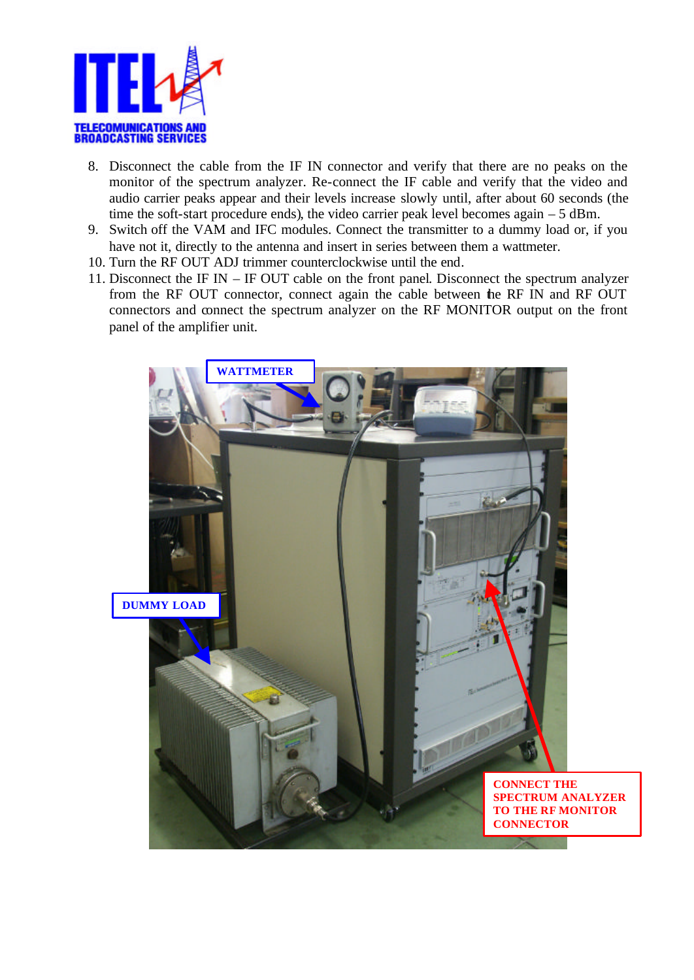

- 8. Disconnect the cable from the IF IN connector and verify that there are no peaks on the monitor of the spectrum analyzer. Re-connect the IF cable and verify that the video and audio carrier peaks appear and their levels increase slowly until, after about 60 seconds (the time the soft-start procedure ends), the video carrier peak level becomes again – 5 dBm.
- 9. Switch off the VAM and IFC modules. Connect the transmitter to a dummy load or, if you have not it, directly to the antenna and insert in series between them a wattmeter.
- 10. Turn the RF OUT ADJ trimmer counterclockwise until the end.
- 11. Disconnect the IF IN IF OUT cable on the front panel. Disconnect the spectrum analyzer from the RF OUT connector, connect again the cable between the RF IN and RF OUT connectors and connect the spectrum analyzer on the RF MONITOR output on the front panel of the amplifier unit.

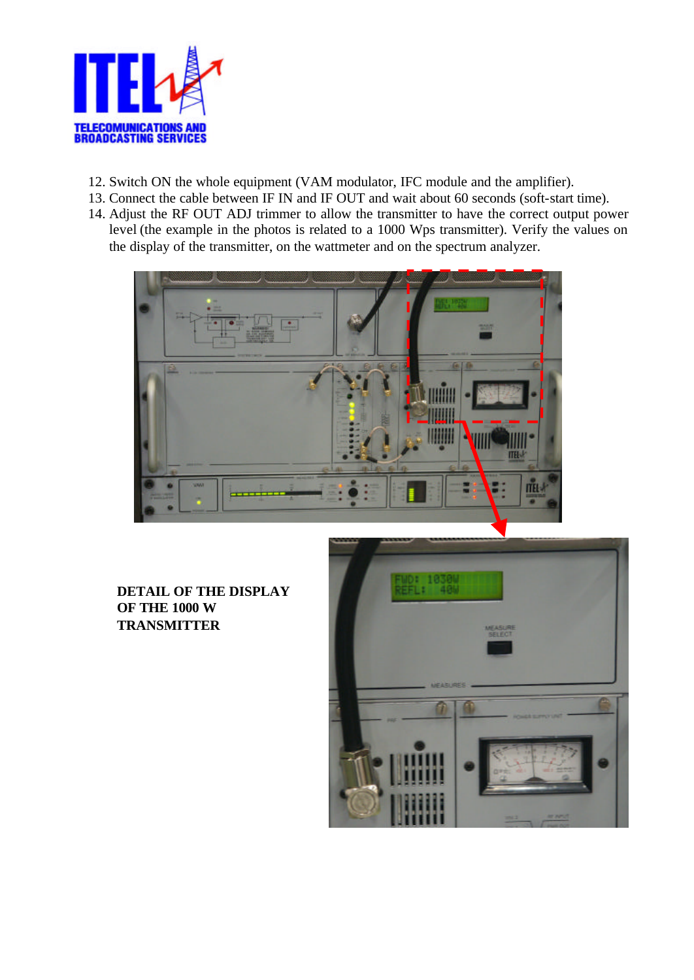

- 12. Switch ON the whole equipment (VAM modulator, IFC module and the amplifier).
- 13. Connect the cable between IF IN and IF OUT and wait about 60 seconds (soft-start time).
- 14. Adjust the RF OUT ADJ trimmer to allow the transmitter to have the correct output power level (the example in the photos is related to a 1000 Wps transmitter). Verify the values on the display of the transmitter, on the wattmeter and on the spectrum analyzer.



**DETAIL OF THE DISPLAY OF THE 1000 W TRANSMITTER**